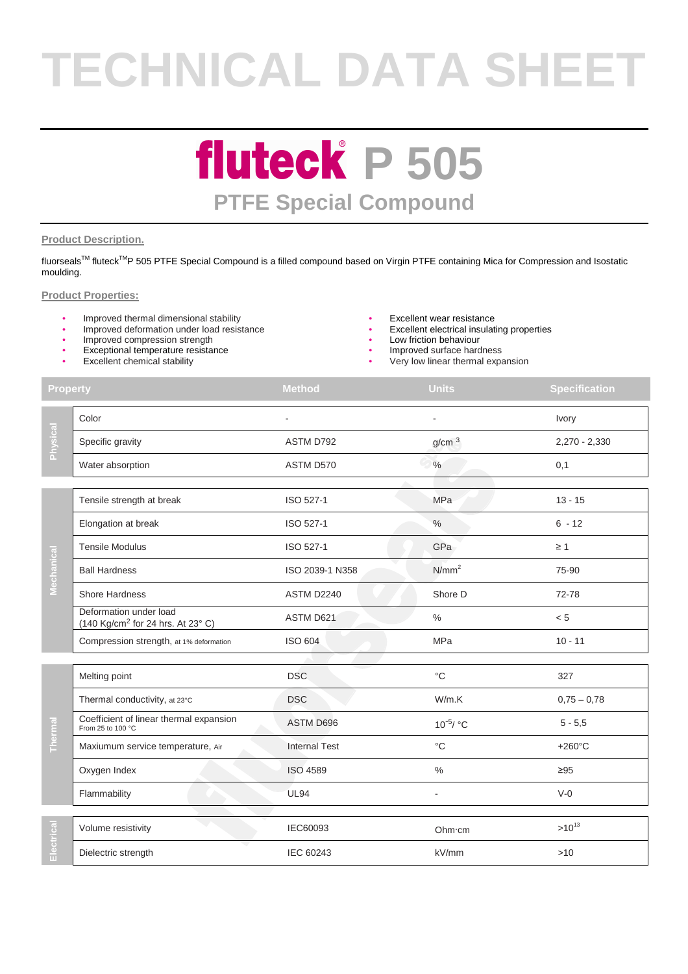# **TECHNICAL DATA SHEET**

### **fluteck P 505 PTFE Special Compound**

#### **Product Description.**

fluorseals™ fluteck<sup>™</sup>P 505 PTFE Special Compound is a filled compound based on Virgin PTFE containing Mica for Compression and Isostatic moulding.

#### **Product Properties:**

- Improved thermal dimensional stability<br>• Improved deformation under load resistance<br>• Excellent electrical insulating properties
- Improved deformation under load resistance
- Improved compression strength **•** Low friction behaviour
- Exceptional temperature resistance
- Excellent chemical stability
- 
- 
- 
- Improved surface hardness
- Very low linear thermal expansion

| <b>Property</b> |                                                                         | <b>Method</b>        | <b>Units</b>      | <b>Specification</b> |
|-----------------|-------------------------------------------------------------------------|----------------------|-------------------|----------------------|
| Physical        | Color                                                                   |                      |                   | Ivory                |
|                 | Specific gravity                                                        | ASTM D792            | g/cm <sup>3</sup> | 2,270 - 2,330        |
|                 | Water absorption                                                        | ASTM D570            | $\%$              | 0,1                  |
| Mechanical      | Tensile strength at break                                               | ISO 527-1            | MPa               | $13 - 15$            |
|                 | Elongation at break                                                     | ISO 527-1            | $\%$              | $6 - 12$             |
|                 | <b>Tensile Modulus</b>                                                  | ISO 527-1            | GPa               | $\geq 1$             |
|                 | <b>Ball Hardness</b>                                                    | ISO 2039-1 N358      | N/mm <sup>2</sup> | 75-90                |
|                 | <b>Shore Hardness</b>                                                   | ASTM D2240           | Shore D           | 72-78                |
|                 | Deformation under load<br>(140 Kg/cm <sup>2</sup> for 24 hrs. At 23° C) | ASTM D621            | $\%$              | < 5                  |
|                 | Compression strength, at 1% deformation                                 | <b>ISO 604</b>       | <b>MPa</b>        | $10 - 11$            |
| <b>Thermal</b>  | Melting point                                                           | <b>DSC</b>           | $^{\circ}C$       | 327                  |
|                 | Thermal conductivity, at 23°C                                           | <b>DSC</b>           | W/m.K             | $0,75 - 0,78$        |
|                 | Coefficient of linear thermal expansion<br>From 25 to 100 °C            | ASTM D696            | $10^{-5}$ / °C    | $5 - 5,5$            |
|                 | Maxiumum service temperature, Air                                       | <b>Internal Test</b> | $^{\circ}C$       | $+260^{\circ}$ C     |
|                 | Oxygen Index                                                            | <b>ISO 4589</b>      | $\frac{0}{0}$     | $\geq 95$            |
|                 | Flammability                                                            | <b>UL94</b>          | ÷,                | $V-0$                |
| ectrica<br>π    | Volume resistivity                                                      | IEC60093             | Ohm cm            | $>10^{13}$           |
|                 | Dielectric strength                                                     | IEC 60243            | kV/mm             | >10                  |